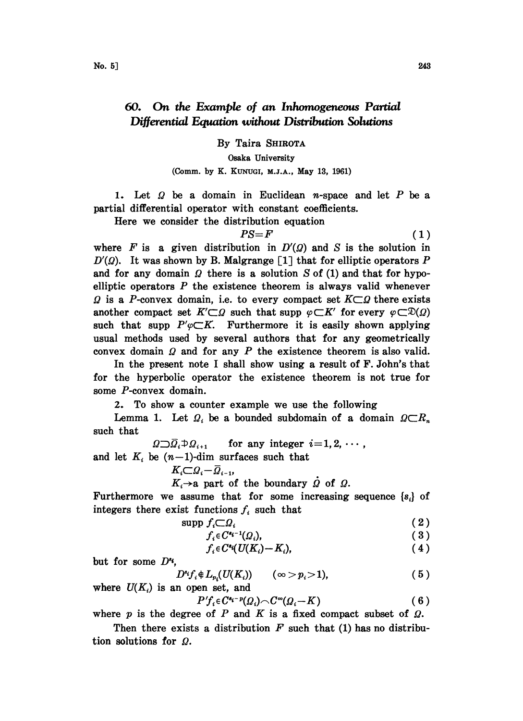## 60. On the Example of an Inhomogeneous Partial Differential Equation without Distribution Solutions

By Taira SHIROTA

Osaka University

## (Comm. by K. KUNUGI, M.J.A., May 13, 1961)

1. Let  $\Omega$  be a domain in Euclidean *n*-space and let P be a partial differential operator with constant coefficients.

Here we consider the distribution equation

$$
PS = F \tag{1}
$$

where F is a given distribution in  $D'(Q)$  and S is the solution in  $D'(Q)$ . It was shown by B. Malgrange [1] that for elliptic operators P and for any domain  $\Omega$  there is a solution S of (1) and that for hypoelliptic operators  $P$  the existence theorem is always valid whenever  $\Omega$  is a P-convex domain, i.e. to every compact set  $K\square \Omega$  there exists another compact set  $K'\subset\Omega$  such that supp  $\varphi\subset K'$  for every  $\varphi\subset\mathfrak{D}(\Omega)$ such that supp  $P'\varphi \subset K$ . Furthermore it is easily shown applying usual methods used by several authors that for any geometrically convex domain  $\Omega$  and for any  $P$  the existence theorem is also valid.

In the present note <sup>I</sup> shall show using a result of F. John's that for the hyperbolic operator the existence theorem is not true for some P-convex domain.

2. To show a counter example we use the following

Lemma 1. Let  $\Omega_i$  be a bounded subdomain of a domain  $\Omega \subset R_n$ such that

 $\Omega \supset \overline{\Omega}_i \oplus \Omega_{i+1}$  for any integer  $i=1,2,\cdots$ , and let  $K_i$  be  $(n-1)$ -dim surfaces such that

$$
K_i \subset \Omega_i - \overline{\Omega}_{i-1},
$$

 $K_i \rightarrow a$  part of the boundary  $\dot{Q}$  of  $Q$ .

Furthermore we assume that for some increasing sequence  $\{s_i\}$  of integers there exist functions  $f_i$  such that

$$
\mathrm{supp}\ f_i \subset \Omega_i \tag{2}
$$

$$
f_i \in C^{s_i-1}(\Omega_i), \tag{3}
$$

$$
f_i \in C^{s_i}(U(K_i) - K_i), \qquad (4)
$$

but for some  $D^{s_i}$ .

$$
D^*f_i\oplus L_{p_i}(U(K_i))\qquad (\infty >p_i>1),\qquad \qquad (5)
$$

where  $U(K_i)$  is an open set, and  $P'f_i \in C^{s_i-p}(Q_i) \cap C^{\infty}(Q_i-K)$  (6)

where  $p$  is the degree of  $P$  and  $K$  is a fixed compact subset of  $Q$ .

Then there exists a distribution  $F$  such that (1) has no distribution solutions for  $\Omega$ .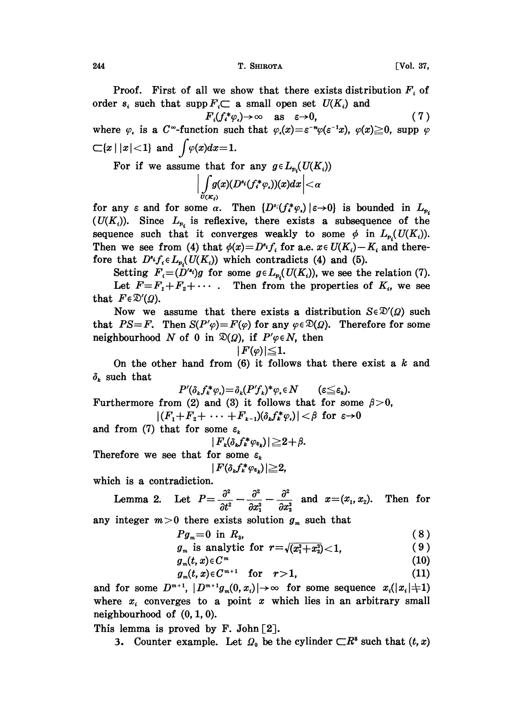244 **Саясная Саясная Саясная Саясная Саясная Саясная Саясная Саясная Саясная Саясная Саясная Саясная Саясная С** 

Proof. First of all we show that there exists distribution  $F_i$  of order  $s_i$  such that supp  $F_i \subset \mathbf{a}$  small open set  $U(K_i)$  and

 $F_i(f_i^*\varphi_i)\to\infty$  as  $\varepsilon\to 0$ , (7) where  $\varphi_i$  is a C<sup>--</sup>function such that  $\varphi_i(x)=\varepsilon^{-n}\varphi(\varepsilon^{-1}x), \varphi(x)\geq 0$ , supp  $\varphi$  $\subset$ {x | |x| < 1} and  $\int \varphi(x)dx=1$ .

For if we assume that for any  $g \in L_{p}(U(K_i))$ 

$$
\Big|\int\limits_{U(K_\ell)}\!\! g(x)(D^{s_\ell}(f^*_*\varphi_\cdot))(x)dx\Big|<\alpha
$$

for any  $\varepsilon$  and for some  $\alpha$ . Then  $\{D^*(f^*\varphi_\epsilon) | \varepsilon \to 0\}$  is bounded in  $L_{p_\epsilon}$  $(U(K_i))$ . Since  $L_{p_i}$  is reflexive, there exists a subsequence of the sequence such that it converges weakly to some  $\phi$  in  $L_{p_i}(U(K_i))$ . Then we see from (4) that  $\phi(x)=D^{s_i}f_i$  for a.e.  $x \in U(K_i)-K_i$  and therefore that  $D^i f_i \in L_{p_i}(U(K_i))$  which contradicts (4) and (5).

Setting  $F_i=(D'^{e_i})g$  for some  $g \in L_{p_i}(U(K_i))$ , we see the relation (7). Let  $F=F_1+F_2+\cdots$ . Then from the properties of  $K_i$ , we see that  $F \in \mathcal{D}'(\Omega)$ .

Now we assume that there exists a distribution  $S \in \mathcal{D}'(Q)$  such that  $PS=F$ . Then  $S(P'\varphi)=F(\varphi)$  for any  $\varphi\in\mathfrak{D}(\Omega)$ . Therefore for some neighbourhood N of 0 in  $\mathfrak{D}(Q)$ , if  $P'\varphi \in N$ , then

$$
|F(\varphi)|{\leqq}1.
$$

On the other hand from  $(6)$  it follows that there exist a k and  $\delta_k$  such that

$$
P'(\delta_k f_k^* \varphi_i) = \delta_k (P' f_k)^* \varphi_i \in N \qquad (\varepsilon \leq \varepsilon_k)
$$

 $P'(\delta_k f_k^* \varphi_i) = \delta_k (P' f_k)^* \varphi_i \in N$  ( $\varepsilon \leq \varepsilon_k$ ).<br>Furthermore from (2) and (3) it follows that for some  $\beta > 0$ ,  $|(F_1+F_2+\cdots+F_{k-1})(\delta_kf_k^*\varphi_\epsilon)|<\beta$  for  $\varepsilon\rightarrow 0$ 

and from (7) that for some  $\varepsilon_k$ 

$$
|F_{k}(\delta_{k}f_{k}^{*}\varphi_{\epsilon_{k}})|\geq 2+\beta.
$$

Therefore we see that for some  $\varepsilon_k$ 

$$
F(\delta_k f_k^* \varphi_{\varepsilon_k})|\!\geq\! 2,
$$

which is a contradiction.

**Lemma 2.** Let 
$$
P = \frac{\partial^2}{\partial t^2} - \frac{\partial^2}{\partial x_1^2} - \frac{\partial^2}{\partial x_2^2}
$$
 and  $x = (x_1, x_2)$ . Then for

any integer  $m>0$  there exists solution  $g_m$  such that

$$
Pg_m = 0 \text{ in } R_3,\tag{8}
$$

$$
g_m \text{ is analytic for } r = \sqrt{(x_1^2 + x_2^2)} < 1,
$$
\n
$$
(9)
$$
\n
$$
(10)
$$

 $g_m(t, x) \in C^m$  (10)

$$
g_m(t, x) \in C^{m+1} \quad \text{for} \quad r > 1,
$$
 (11)

and for some  $D^{m+1}$ ,  $|D^{m+1}g_m(0,x_i)|\rightarrow\infty$  for some sequence  $x_i(|x_i|+1)$ where  $x_i$  converges to a point x which lies in an arbitrary small neighbourhood of  $(0, 1, 0)$ .

This lemma is proved by  $F.$  John  $[2]$ .

3. Counter example. Let  $\Omega_0$  be the cylinder  $\subset R^3$  such that  $(t, x)$